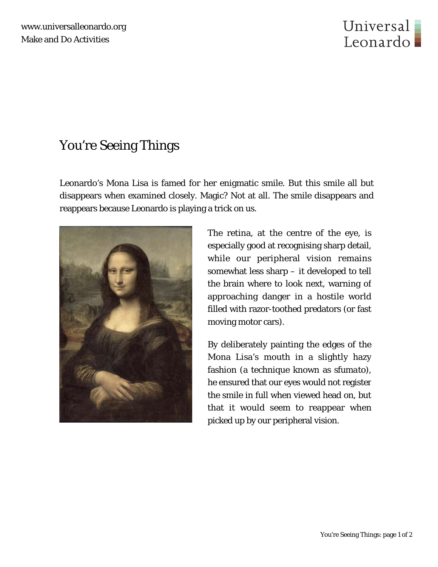

## You're Seeing Things

Leonardo's Mona Lisa is famed for her enigmatic smile. But this smile all but disappears when examined closely. Magic? Not at all. The smile disappears and reappears because Leonardo is playing a trick on us.



The retina, at the centre of the eye, is especially good at recognising sharp detail, while our peripheral vision remains somewhat less sharp – it developed to tell the brain where to look next, warning of approaching danger in a hostile world filled with razor-toothed predators (or fast moving motor cars).

By deliberately painting the edges of the Mona Lisa's mouth in a slightly hazy fashion (a technique known as *sfumato*), he ensured that our eyes would not register the smile in full when viewed head on, but that it would seem to reappear when picked up by our peripheral vision.